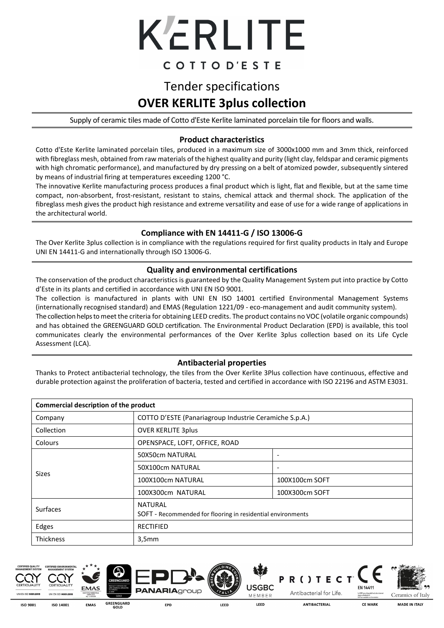

### COTTOD'ESTE

## Tender specifications **OVER KERLITE 3plus collection**

Supply of ceramic tiles made of Cotto d'Este Kerlite laminated porcelain tile for floors and walls.

#### **Product characteristics**

Cotto d'Este Kerlite laminated porcelain tiles, produced in a maximum size of 3000x1000 mm and 3mm thick, reinforced with fibreglass mesh, obtained from raw materials of the highest quality and purity (light clay, feldspar and ceramic pigments with high chromatic performance), and manufactured by dry pressing on a belt of atomized powder, subsequently sintered by means of industrial firing at temperatures exceeding 1200 °C.

The innovative Kerlite manufacturing process produces a final product which is light, flat and flexible, but at the same time compact, non-absorbent, frost-resistant, resistant to stains, chemical attack and thermal shock. The application of the fibreglass mesh gives the product high resistance and extreme versatility and ease of use for a wide range of applications in the architectural world.

#### **Compliance with EN 14411-G / ISO 13006-G**

The Over Kerlite 3plus collection is in compliance with the regulations required for first quality products in Italy and Europe UNI EN 14411-G and internationally through ISO 13006-G.

#### **Quality and environmental certifications**

The conservation of the product characteristics is guaranteed by the Quality Management System put into practice by Cotto d'Este in its plants and certified in accordance with UNI EN ISO 9001.

The collection is manufactured in plants with UNI EN ISO 14001 certified Environmental Management Systems (internationally recognised standard) and EMAS (Regulation 1221/09 - eco-management and audit community system). The collection helps to meet the criteria for obtaining LEED credits. The product contains no VOC (volatile organic compounds) and has obtained the GREENGUARD GOLD certification. The Environmental Product Declaration (EPD) is available, this tool communicates clearly the environmental performances of the Over Kerlite 3plus collection based on its Life Cycle Assessment (LCA).

#### **Antibacterial properties**

Thanks to Protect antibacterial technology, the tiles from the Over Kerlite 3Plus collection have continuous, effective and durable protection against the proliferation of bacteria, tested and certified in accordance with ISO 22196 and ASTM E3031.

| Commercial description of the product |                                                                        |                          |  |  |  |
|---------------------------------------|------------------------------------------------------------------------|--------------------------|--|--|--|
| Company                               | COTTO D'ESTE (Panariagroup Industrie Ceramiche S.p.A.)                 |                          |  |  |  |
| Collection                            | <b>OVER KERLITE 3plus</b>                                              |                          |  |  |  |
| Colours                               | OPENSPACE, LOFT, OFFICE, ROAD                                          |                          |  |  |  |
|                                       | 50X50cm NATURAL                                                        | $\overline{\phantom{a}}$ |  |  |  |
|                                       | 50X100cm NATURAL                                                       | $\overline{\phantom{a}}$ |  |  |  |
| <b>Sizes</b>                          | 100X100cm NATURAL                                                      | 100X100cm SOFT           |  |  |  |
|                                       | 100X300cm NATURAL                                                      | 100X300cm SOFT           |  |  |  |
| Surfaces                              | NATURAL<br>SOFT - Recommended for flooring in residential environments |                          |  |  |  |
| Edges                                 | <b>RECTIFIED</b>                                                       |                          |  |  |  |
| Thickness                             | 3,5mm                                                                  |                          |  |  |  |